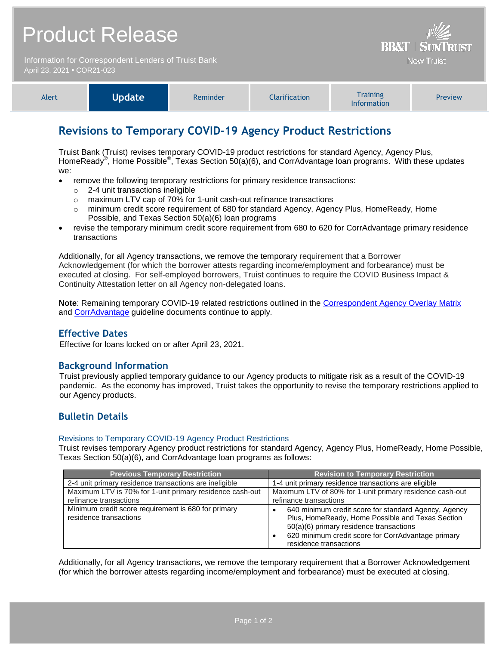| <b>Product Release</b>                                                             | $\frac{1}{2}$<br><b>BB&amp;T   SUNTRUST</b> |
|------------------------------------------------------------------------------------|---------------------------------------------|
| Information for Correspondent Lenders of Truist Bank<br>April 23, 2021 • COR21-023 | <b>Now Truist</b>                           |

| Alert | <b>Update</b> | Reminder | <b>Clarification</b> | <b>Training</b><br><b>Information</b> | <b>Preview</b> |
|-------|---------------|----------|----------------------|---------------------------------------|----------------|
|-------|---------------|----------|----------------------|---------------------------------------|----------------|

# **Revisions to Temporary COVID-19 Agency Product Restrictions**

Truist Bank (Truist) revises temporary COVID-19 product restrictions for standard Agency, Agency Plus, HomeReady<sup>®</sup>, Home Possible<sup>®</sup>, Texas Section 50(a)(6), and CorrAdvantage loan programs. With these updates we:

- remove the following temporary restrictions for primary residence transactions:
	- o 2-4 unit transactions ineligible
	- o maximum LTV cap of 70% for 1-unit cash-out refinance transactions
	- $\circ$  minimum credit score requirement of 680 for standard Agency, Agency Plus, HomeReady, Home Possible, and Texas Section 50(a)(6) loan programs
- revise the temporary minimum credit score requirement from 680 to 620 for CorrAdvantage primary residence transactions

Additionally, for all Agency transactions, we remove the temporary requirement that a Borrower Acknowledgement (for which the borrower attests regarding income/employment and forbearance) must be executed at closing. For self-employed borrowers, Truist continues to require the COVID Business Impact & Continuity Attestation letter on all Agency non-delegated loans.

**Note**: Remaining temporary COVID-19 related restrictions outlined in the [Correspondent Agency Overlay Matrix](https://www.truistsellerguide.com/manual/cor/products/CAgencyCreditOverlays.pdf) and [CorrAdvantage](https://www.truistsellerguide.com/Manual/cor/products/CorrAdvantage.pdf) guideline documents continue to apply.

## **Effective Dates**

Effective for loans locked on or after April 23, 2021.

## **Background Information**

Truist previously applied temporary guidance to our Agency products to mitigate risk as a result of the COVID-19 pandemic. As the economy has improved, Truist takes the opportunity to revise the temporary restrictions applied to our Agency products.

## **Bulletin Details**

#### Revisions to Temporary COVID-19 Agency Product Restrictions

Truist revises temporary Agency product restrictions for standard Agency, Agency Plus, HomeReady, Home Possible, Texas Section 50(a)(6), and CorrAdvantage loan programs as follows:

| <b>Previous Temporary Restriction</b>                                         | <b>Revision to Temporary Restriction</b>                                                                                                                                                                                            |
|-------------------------------------------------------------------------------|-------------------------------------------------------------------------------------------------------------------------------------------------------------------------------------------------------------------------------------|
| 2-4 unit primary residence transactions are ineligible                        | 1-4 unit primary residence transactions are eligible                                                                                                                                                                                |
| Maximum LTV is 70% for 1-unit primary residence cash-out                      | Maximum LTV of 80% for 1-unit primary residence cash-out                                                                                                                                                                            |
| refinance transactions                                                        | refinance transactions                                                                                                                                                                                                              |
| Minimum credit score requirement is 680 for primary<br>residence transactions | 640 minimum credit score for standard Agency, Agency<br>Plus, HomeReady, Home Possible and Texas Section<br>50(a)(6) primary residence transactions<br>620 minimum credit score for CorrAdvantage primary<br>residence transactions |

Additionally, for all Agency transactions, we remove the temporary requirement that a Borrower Acknowledgement (for which the borrower attests regarding income/employment and forbearance) must be executed at closing.